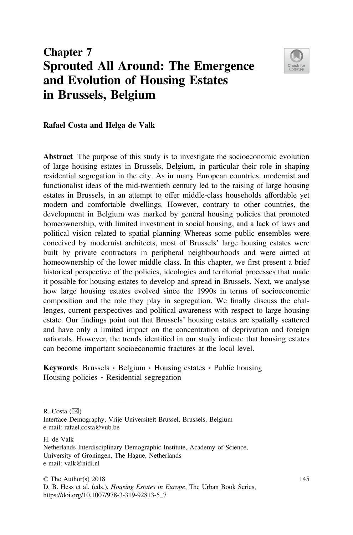# Chapter 7 Sprouted All Around: The Emergence and Evolution of Housing Estates in Brussels, Belgium



Rafael Costa and Helga de Valk

Abstract The purpose of this study is to investigate the socioeconomic evolution of large housing estates in Brussels, Belgium, in particular their role in shaping residential segregation in the city. As in many European countries, modernist and functionalist ideas of the mid-twentieth century led to the raising of large housing estates in Brussels, in an attempt to offer middle-class households affordable yet modern and comfortable dwellings. However, contrary to other countries, the development in Belgium was marked by general housing policies that promoted homeownership, with limited investment in social housing, and a lack of laws and political vision related to spatial planning Whereas some public ensembles were conceived by modernist architects, most of Brussels' large housing estates were built by private contractors in peripheral neighbourhoods and were aimed at homeownership of the lower middle class. In this chapter, we first present a brief historical perspective of the policies, ideologies and territorial processes that made it possible for housing estates to develop and spread in Brussels. Next, we analyse how large housing estates evolved since the 1990s in terms of socioeconomic composition and the role they play in segregation. We finally discuss the challenges, current perspectives and political awareness with respect to large housing estate. Our findings point out that Brussels' housing estates are spatially scattered and have only a limited impact on the concentration of deprivation and foreign nationals. However, the trends identified in our study indicate that housing estates can become important socioeconomic fractures at the local level.

**Keywords** Brussels  $\cdot$  Belgium  $\cdot$  Housing estates  $\cdot$  Public housing Housing policies · Residential segregation

R. Costa  $(\boxtimes)$ 

H. de Valk Netherlands Interdisciplinary Demographic Institute, Academy of Science, University of Groningen, The Hague, Netherlands e-mail: valk@nidi.nl

© The Author(s) 2018 D. B. Hess et al. (eds.), Housing Estates in Europe, The Urban Book Series, https://doi.org/10.1007/978-3-319-92813-5\_7

Interface Demography, Vrije Universiteit Brussel, Brussels, Belgium e-mail: rafael.costa@vub.be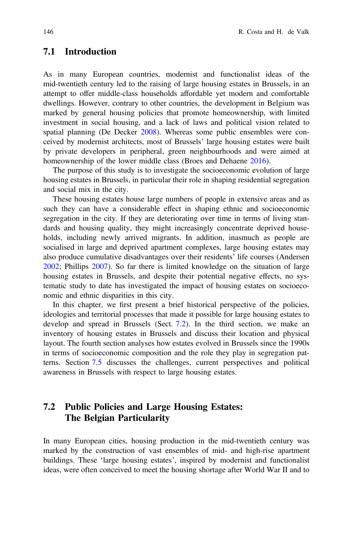#### <span id="page-1-0"></span>7.1 Introduction

As in many European countries, modernist and functionalist ideas of the mid-twentieth century led to the raising of large housing estates in Brussels, in an attempt to offer middle-class households affordable yet modern and comfortable dwellings. However, contrary to other countries, the development in Belgium was marked by general housing policies that promote homeownership, with limited investment in social housing, and a lack of laws and political vision related to spatial planning (De Decker [2008](#page-20-0)). Whereas some public ensembles were conceived by modernist architects, most of Brussels' large housing estates were built by private developers in peripheral, green neighbourhoods and were aimed at homeownership of the lower middle class (Broes and Dehaene [2016\)](#page-20-0).

The purpose of this study is to investigate the socioeconomic evolution of large housing estates in Brussels, in particular their role in shaping residential segregation and social mix in the city.

These housing estates house large numbers of people in extensive areas and as such they can have a considerable effect in shaping ethnic and socioeconomic segregation in the city. If they are deteriorating over time in terms of living standards and housing quality, they might increasingly concentrate deprived households, including newly arrived migrants. In addition, inasmuch as people are socialised in large and deprived apartment complexes, large housing estates may also produce cumulative disadvantages over their residents' life courses (Andersen [2002;](#page-20-0) Phillips [2007](#page-21-0)). So far there is limited knowledge on the situation of large housing estates in Brussels, and despite their potential negative effects, no systematic study to date has investigated the impact of housing estates on socioeconomic and ethnic disparities in this city.

In this chapter, we first present a brief historical perspective of the policies, ideologies and territorial processes that made it possible for large housing estates to develop and spread in Brussels (Sect. 7.2). In the third section, we make an inventory of housing estates in Brussels and discuss their location and physical layout. The fourth section analyses how estates evolved in Brussels since the 1990s in terms of socioeconomic composition and the role they play in segregation patterns. Section [7.5](#page-16-0) discusses the challenges, current perspectives and political awareness in Brussels with respect to large housing estates.

# 7.2 Public Policies and Large Housing Estates: The Belgian Particularity

In many European cities, housing production in the mid-twentieth century was marked by the construction of vast ensembles of mid- and high-rise apartment buildings. These 'large housing estates', inspired by modernist and functionalist ideas, were often conceived to meet the housing shortage after World War II and to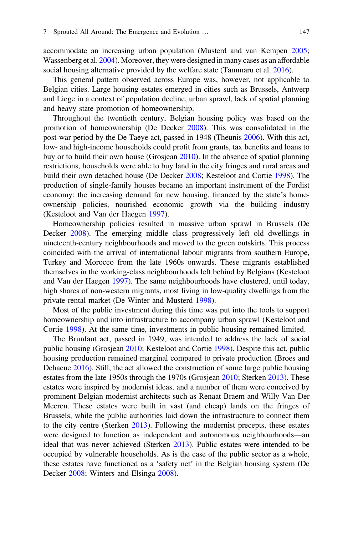accommodate an increasing urban population (Musterd and van Kempen [2005;](#page-21-0) Wassenberg et al. [2004](#page-21-0)). Moreover, they were designed in many cases as an affordable social housing alternative provided by the welfare state (Tammaru et al. [2016](#page-21-0)).

This general pattern observed across Europe was, however, not applicable to Belgian cities. Large housing estates emerged in cities such as Brussels, Antwerp and Liege in a context of population decline, urban sprawl, lack of spatial planning and heavy state promotion of homeownership.

Throughout the twentieth century, Belgian housing policy was based on the promotion of homeownership (De Decker [2008](#page-20-0)). This was consolidated in the post-war period by the De Taeye act, passed in 1948 (Theunis [2006\)](#page-21-0). With this act, low- and high-income households could profit from grants, tax benefits and loans to buy or to build their own house (Grosjean [2010\)](#page-20-0). In the absence of spatial planning restrictions, households were able to buy land in the city fringes and rural areas and build their own detached house (De Decker [2008;](#page-20-0) Kesteloot and Cortie [1998\)](#page-20-0). The production of single-family houses became an important instrument of the Fordist economy: the increasing demand for new housing, financed by the state's homeownership policies, nourished economic growth via the building industry (Kesteloot and Van der Haegen [1997](#page-20-0)).

Homeownership policies resulted in massive urban sprawl in Brussels (De Decker [2008\)](#page-20-0). The emerging middle class progressively left old dwellings in nineteenth-century neighbourhoods and moved to the green outskirts. This process coincided with the arrival of international labour migrants from southern Europe, Turkey and Morocco from the late 1960s onwards. These migrants established themselves in the working-class neighbourhoods left behind by Belgians (Kesteloot and Van der Haegen [1997\)](#page-20-0). The same neighbourhoods have clustered, until today, high shares of non-western migrants, most living in low-quality dwellings from the private rental market (De Winter and Musterd [1998\)](#page-20-0).

Most of the public investment during this time was put into the tools to support homeownership and into infrastructure to accompany urban sprawl (Kesteloot and Cortie [1998\)](#page-20-0). At the same time, investments in public housing remained limited.

The Brunfaut act, passed in 1949, was intended to address the lack of social public housing (Grosjean [2010;](#page-20-0) Kesteloot and Cortie [1998](#page-20-0)). Despite this act, public housing production remained marginal compared to private production (Broes and Dehaene [2016](#page-20-0)). Still, the act allowed the construction of some large public housing estates from the late 1950s through the 1970s (Grosjean [2010](#page-20-0); Sterken [2013\)](#page-21-0). These estates were inspired by modernist ideas, and a number of them were conceived by prominent Belgian modernist architects such as Renaat Braem and Willy Van Der Meeren. These estates were built in vast (and cheap) lands on the fringes of Brussels, while the public authorities laid down the infrastructure to connect them to the city centre (Sterken [2013\)](#page-21-0). Following the modernist precepts, these estates were designed to function as independent and autonomous neighbourhoods—an ideal that was never achieved (Sterken [2013\)](#page-21-0). Public estates were intended to be occupied by vulnerable households. As is the case of the public sector as a whole, these estates have functioned as a 'safety net' in the Belgian housing system (De Decker [2008;](#page-20-0) Winters and Elsinga [2008\)](#page-21-0).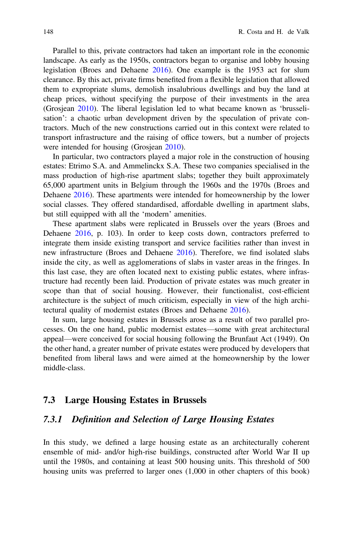<span id="page-3-0"></span>Parallel to this, private contractors had taken an important role in the economic landscape. As early as the 1950s, contractors began to organise and lobby housing legislation (Broes and Dehaene [2016\)](#page-20-0). One example is the 1953 act for slum clearance. By this act, private firms benefited from a flexible legislation that allowed them to expropriate slums, demolish insalubrious dwellings and buy the land at cheap prices, without specifying the purpose of their investments in the area (Grosjean [2010\)](#page-20-0). The liberal legislation led to what became known as 'brusselisation': a chaotic urban development driven by the speculation of private contractors. Much of the new constructions carried out in this context were related to transport infrastructure and the raising of office towers, but a number of projects were intended for housing (Grosjean [2010](#page-20-0)).

In particular, two contractors played a major role in the construction of housing estates: Etrimo S.A. and Ammelinckx S.A. These two companies specialised in the mass production of high-rise apartment slabs; together they built approximately 65,000 apartment units in Belgium through the 1960s and the 1970s (Broes and Dehaene [2016\)](#page-20-0). These apartments were intended for homeownership by the lower social classes. They offered standardised, affordable dwelling in apartment slabs, but still equipped with all the 'modern' amenities.

These apartment slabs were replicated in Brussels over the years (Broes and Dehaene [2016](#page-20-0), p. 103). In order to keep costs down, contractors preferred to integrate them inside existing transport and service facilities rather than invest in new infrastructure (Broes and Dehaene [2016\)](#page-20-0). Therefore, we find isolated slabs inside the city, as well as agglomerations of slabs in vaster areas in the fringes. In this last case, they are often located next to existing public estates, where infrastructure had recently been laid. Production of private estates was much greater in scope than that of social housing. However, their functionalist, cost-efficient architecture is the subject of much criticism, especially in view of the high architectural quality of modernist estates (Broes and Dehaene [2016](#page-20-0)).

In sum, large housing estates in Brussels arose as a result of two parallel processes. On the one hand, public modernist estates—some with great architectural appeal—were conceived for social housing following the Brunfaut Act (1949). On the other hand, a greater number of private estates were produced by developers that benefited from liberal laws and were aimed at the homeownership by the lower middle-class.

#### 7.3 Large Housing Estates in Brussels

#### 7.3.1 Definition and Selection of Large Housing Estates

In this study, we defined a large housing estate as an architecturally coherent ensemble of mid- and/or high-rise buildings, constructed after World War II up until the 1980s, and containing at least 500 housing units. This threshold of 500 housing units was preferred to larger ones (1,000 in other chapters of this book)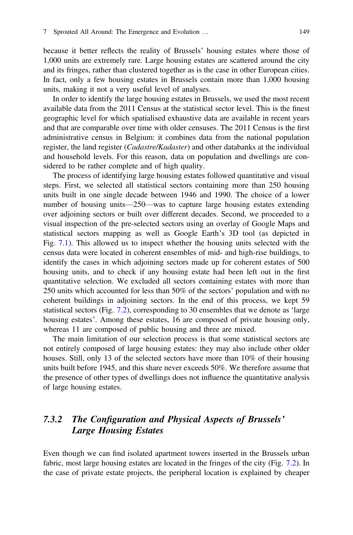because it better reflects the reality of Brussels' housing estates where those of 1,000 units are extremely rare. Large housing estates are scattered around the city and its fringes, rather than clustered together as is the case in other European cities. In fact, only a few housing estates in Brussels contain more than 1,000 housing units, making it not a very useful level of analyses.

In order to identify the large housing estates in Brussels, we used the most recent available data from the 2011 Census at the statistical sector level. This is the finest geographic level for which spatialised exhaustive data are available in recent years and that are comparable over time with older censuses. The 2011 Census is the first administrative census in Belgium: it combines data from the national population register, the land register (Cadastre/Kadaster) and other databanks at the individual and household levels. For this reason, data on population and dwellings are considered to be rather complete and of high quality.

The process of identifying large housing estates followed quantitative and visual steps. First, we selected all statistical sectors containing more than 250 housing units built in one single decade between 1946 and 1990. The choice of a lower number of housing units—250—was to capture large housing estates extending over adjoining sectors or built over different decades. Second, we proceeded to a visual inspection of the pre-selected sectors using an overlay of Google Maps and statistical sectors mapping as well as Google Earth's 3D tool (as depicted in Fig. [7.1](#page-5-0)). This allowed us to inspect whether the housing units selected with the census data were located in coherent ensembles of mid- and high-rise buildings, to identify the cases in which adjoining sectors made up for coherent estates of 500 housing units, and to check if any housing estate had been left out in the first quantitative selection. We excluded all sectors containing estates with more than 250 units which accounted for less than 50% of the sectors' population and with no coherent buildings in adjoining sectors. In the end of this process, we kept 59 statistical sectors (Fig. [7.2\)](#page-6-0), corresponding to 30 ensembles that we denote as 'large housing estates'. Among these estates, 16 are composed of private housing only, whereas 11 are composed of public housing and three are mixed.

The main limitation of our selection process is that some statistical sectors are not entirely composed of large housing estates: they may also include other older houses. Still, only 13 of the selected sectors have more than 10% of their housing units built before 1945, and this share never exceeds 50%. We therefore assume that the presence of other types of dwellings does not influence the quantitative analysis of large housing estates.

# 7.3.2 The Configuration and Physical Aspects of Brussels' Large Housing Estates

Even though we can find isolated apartment towers inserted in the Brussels urban fabric, most large housing estates are located in the fringes of the city (Fig. [7.2\)](#page-6-0). In the case of private estate projects, the peripheral location is explained by cheaper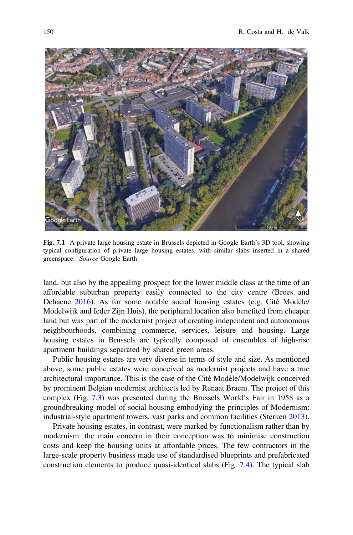<span id="page-5-0"></span>

Fig. 7.1 A private large housing estate in Brussels depicted in Google Earth's 3D tool, showing typical configuration of private large housing estates, with similar slabs inserted in a shared greenspace. Source Google Earth

land, but also by the appealing prospect for the lower middle class at the time of an affordable suburban property easily connected to the city centre (Broes and Dehaene [2016](#page-20-0)). As for some notable social housing estates (e.g. Cité Modèle/ Modelwijk and Ieder Zijn Huis), the peripheral location also benefited from cheaper land but was part of the modernist project of creating independent and autonomous neighbourhoods, combining commerce, services, leisure and housing. Large housing estates in Brussels are typically composed of ensembles of high-rise apartment buildings separated by shared green areas.

Public housing estates are very diverse in terms of style and size. As mentioned above, some public estates were conceived as modernist projects and have a true architectural importance. This is the case of the Cité Modèle/Modelwijk conceived by prominent Belgian modernist architects led by Renaat Braem. The project of this complex (Fig. [7.3\)](#page-7-0) was presented during the Brussels World's Fair in 1958 as a groundbreaking model of social housing embodying the principles of Modernism: industrial-style apartment towers, vast parks and common facilities (Sterken [2013\)](#page-21-0).

Private housing estates, in contrast, were marked by functionalism rather than by modernism: the main concern in their conception was to minimise construction costs and keep the housing units at affordable prices. The few contractors in the large-scale property business made use of standardised blueprints and prefabricated construction elements to produce quasi-identical slabs (Fig. [7.4](#page-8-0)). The typical slab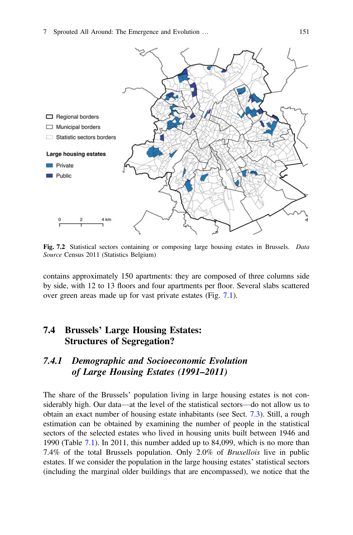<span id="page-6-0"></span>

Fig. 7.2 Statistical sectors containing or composing large housing estates in Brussels. Data Source Census 2011 (Statistics Belgium)

contains approximately 150 apartments: they are composed of three columns side by side, with 12 to 13 floors and four apartments per floor. Several slabs scattered over green areas made up for vast private estates (Fig. [7.1](#page-5-0)).

### 7.4 Brussels' Large Housing Estates: Structures of Segregation?

# 7.4.1 Demographic and Socioeconomic Evolution of Large Housing Estates (1991–2011)

The share of the Brussels' population living in large housing estates is not considerably high. Our data—at the level of the statistical sectors—do not allow us to obtain an exact number of housing estate inhabitants (see Sect. [7.3\)](#page-3-0). Still, a rough estimation can be obtained by examining the number of people in the statistical sectors of the selected estates who lived in housing units built between 1946 and 1990 (Table [7.1](#page-9-0)). In 2011, this number added up to 84,099, which is no more than 7.4% of the total Brussels population. Only 2.0% of Bruxellois live in public estates. If we consider the population in the large housing estates' statistical sectors (including the marginal older buildings that are encompassed), we notice that the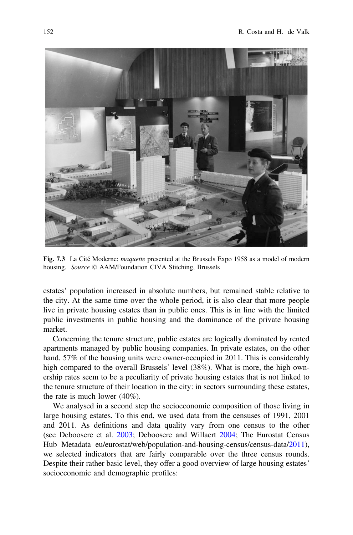<span id="page-7-0"></span>

Fig. 7.3 La Cité Moderne: maquette presented at the Brussels Expo 1958 as a model of modern housing. Source © AAM/Foundation CIVA Stitching, Brussels

estates' population increased in absolute numbers, but remained stable relative to the city. At the same time over the whole period, it is also clear that more people live in private housing estates than in public ones. This is in line with the limited public investments in public housing and the dominance of the private housing market.

Concerning the tenure structure, public estates are logically dominated by rented apartments managed by public housing companies. In private estates, on the other hand, 57% of the housing units were owner-occupied in 2011. This is considerably high compared to the overall Brussels' level (38%). What is more, the high ownership rates seem to be a peculiarity of private housing estates that is not linked to the tenure structure of their location in the city: in sectors surrounding these estates, the rate is much lower (40%).

We analysed in a second step the socioeconomic composition of those living in large housing estates. To this end, we used data from the censuses of 1991, 2001 and 2011. As definitions and data quality vary from one census to the other (see Deboosere et al. [2003](#page-20-0); Deboosere and Willaert [2004](#page-20-0); The Eurostat Census Hub Metadata eu/eurostat/web/population-and-housing-census/census-data/[2011\)](#page-21-0), we selected indicators that are fairly comparable over the three census rounds. Despite their rather basic level, they offer a good overview of large housing estates' socioeconomic and demographic profiles: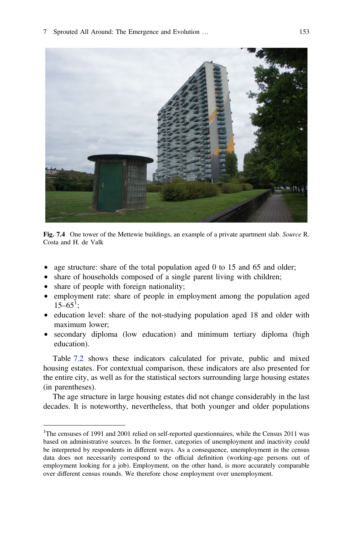<span id="page-8-0"></span>

Fig. 7.4 One tower of the Mettewie buildings, an example of a private apartment slab. Source R. Costa and H. de Valk

- age structure: share of the total population aged 0 to 15 and 65 and older;
- share of households composed of a single parent living with children;
- share of people with foreign nationality;
- employment rate: share of people in employment among the population aged  $15-65$ <sup>1</sup>;
- education level: share of the not-studying population aged 18 and older with maximum lower;
- secondary diploma (low education) and minimum tertiary diploma (high education).

Table [7.2](#page-10-0) shows these indicators calculated for private, public and mixed housing estates. For contextual comparison, these indicators are also presented for the entire city, as well as for the statistical sectors surrounding large housing estates (in parentheses).

The age structure in large housing estates did not change considerably in the last decades. It is noteworthy, nevertheless, that both younger and older populations

<sup>&</sup>lt;sup>1</sup>The censuses of 1991 and 2001 relied on self-reported questionnaires, while the Census 2011 was based on administrative sources. In the former, categories of unemployment and inactivity could be interpreted by respondents in different ways. As a consequence, unemployment in the census data does not necessarily correspond to the official definition (working-age persons out of employment looking for a job). Employment, on the other hand, is more accurately comparable over different census rounds. We therefore chose employment over unemployment.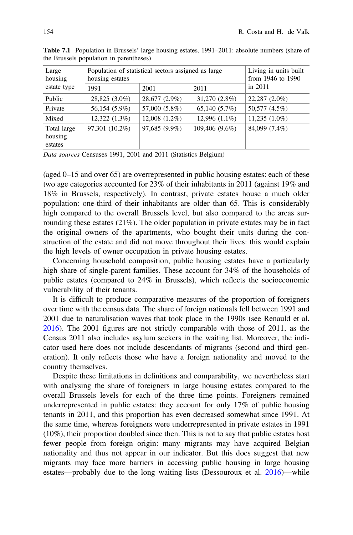| Large<br>housing                  | Population of statistical sectors assigned as large<br>housing estates |                    |                | Living in units built<br>from 1946 to 1990 |
|-----------------------------------|------------------------------------------------------------------------|--------------------|----------------|--------------------------------------------|
| estate type                       | 1991                                                                   | 2001               | 2011           | in 2011                                    |
| Public                            | 28,825 (3.0%)                                                          | 28,677 (2.9%)      | 31,270 (2.8%)  | 22,287 (2.0%)                              |
| Private                           | 56,154 (5.9%)                                                          | 57,000 (5.8%)      | 65,140(5.7%)   | 50,577 (4.5%)                              |
| Mixed                             | $12,322(1.3\%)$                                                        | $12,008$ $(1.2\%)$ | 12,996 (1.1%)  | $11,235(1.0\%)$                            |
| Total large<br>housing<br>estates | 97,301 (10.2%)                                                         | 97,685 (9.9%)      | 109,406 (9.6%) | 84,099 (7.4%)                              |

<span id="page-9-0"></span>Table 7.1 Population in Brussels' large housing estates, 1991–2011: absolute numbers (share of the Brussels population in parentheses)

Data sources Censuses 1991, 2001 and 2011 (Statistics Belgium)

(aged 0–15 and over 65) are overrepresented in public housing estates: each of these two age categories accounted for 23% of their inhabitants in 2011 (against 19% and 18% in Brussels, respectively). In contrast, private estates house a much older population: one-third of their inhabitants are older than 65. This is considerably high compared to the overall Brussels level, but also compared to the areas surrounding these estates (21%). The older population in private estates may be in fact the original owners of the apartments, who bought their units during the construction of the estate and did not move throughout their lives: this would explain the high levels of owner occupation in private housing estates.

Concerning household composition, public housing estates have a particularly high share of single-parent families. These account for 34% of the households of public estates (compared to 24% in Brussels), which reflects the socioeconomic vulnerability of their tenants.

It is difficult to produce comparative measures of the proportion of foreigners over time with the census data. The share of foreign nationals fell between 1991 and 2001 due to naturalisation waves that took place in the 1990s (see Renauld et al. [2016\)](#page-21-0). The 2001 figures are not strictly comparable with those of 2011, as the Census 2011 also includes asylum seekers in the waiting list. Moreover, the indicator used here does not include descendants of migrants (second and third generation). It only reflects those who have a foreign nationality and moved to the country themselves.

Despite these limitations in definitions and comparability, we nevertheless start with analysing the share of foreigners in large housing estates compared to the overall Brussels levels for each of the three time points. Foreigners remained underrepresented in public estates: they account for only 17% of public housing tenants in 2011, and this proportion has even decreased somewhat since 1991. At the same time, whereas foreigners were underrepresented in private estates in 1991 (10%), their proportion doubled since then. This is not to say that public estates host fewer people from foreign origin: many migrants may have acquired Belgian nationality and thus not appear in our indicator. But this does suggest that new migrants may face more barriers in accessing public housing in large housing estates—probably due to the long waiting lists (Dessouroux et al. [2016](#page-20-0))—while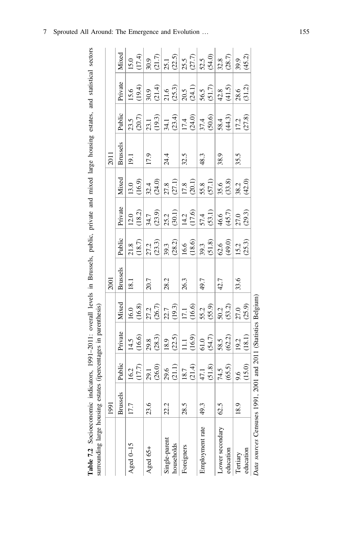<span id="page-10-0"></span>

|   | ĵ<br>֧֧֧֧ׅ֧֧֧֧ׅ֧֚֚֚֚֚֚֚֚֚֚֚֚֚֚֚֚֚֚֚֚֚֚֚֚֚֚֚֚֚֚֚֚֚֝֡֡֡֓֡֜֓֡֓֞֡֝֬֜<br>ì | ١<br>į | 5<br>l<br>l | $\frac{1}{2}$ | i<br>C | へへい<br>ì | c miblic private and mived |  | $\sim$ | 0.0010101 | actotac and ctotict<br>3 | j | i |
|---|-----------------------------------------------------------------------|--------|-------------|---------------|--------|----------|----------------------------|--|--------|-----------|--------------------------|---|---|
| l | gradio<br>i<br>d<br>ţ<br>d.<br>ł                                      |        |             |               |        |          |                            |  |        |           |                          |   |   |

|                       | 1991            |                    |                                          |                    | 2001     |                       |                  |                  | 2011     |                  |                  |                       |
|-----------------------|-----------------|--------------------|------------------------------------------|--------------------|----------|-----------------------|------------------|------------------|----------|------------------|------------------|-----------------------|
|                       | <b>Brussels</b> | Public             | Private                                  | Mixed              | Brussels | Public                | Private          | Mixed            | Brussels | Public           | Private          | Mixed                 |
| Aged 0-15             | 17.7            |                    | 14.5                                     | 16.0               | 18.1     |                       | 12.0             | 13.0             | 19.1     | 23.5             | 15.6             | 15.0                  |
|                       |                 | $16.2$<br>(17.7)   | (16.6)                                   | (16.8)             |          | $\frac{21.8}{(18.7)}$ | (18.2)           | (16.9)           |          | (20.7)           | (19.4)           | (17.4)                |
| Aged 65+              | 23.6            |                    |                                          |                    | 20.7     |                       |                  | 32.4             | 17.9     |                  |                  |                       |
|                       |                 | 29.1<br>(26.0)     | $\frac{29.8}{(28.3)}$                    | 27.2<br>(26.7)     |          | $27.2$<br>$(23.3)$    | 34.7<br>(23.9)   | (24.0)           |          | $23.1$<br>(19.3) | $30.9$<br>(21.4) | $\frac{30.9}{(21.7)}$ |
| Single-parent         | 22.2            |                    |                                          | $22.7$<br>(19.3)   | 28.2     | $39.3$<br>$(28.2)$    | $25.2$<br>(30.1) | $27.8$<br>(27.1) | 24.4     | $34.1$<br>(23.4) | $21.6$<br>(25.3) | $\frac{25.1}{(22.5)}$ |
| households            |                 | $29.6$<br>$(21.1)$ | $18.9$<br>(22.5)                         |                    |          |                       |                  |                  |          |                  |                  |                       |
| Foreigners            | 28.5            |                    | 11.1                                     | 17.1               | 26.3     |                       |                  | 17.8             | 32.5     |                  | $20.5$<br>(24.1) |                       |
|                       |                 | $18.7$<br>(21.4)   | (16.9)                                   | (16.6)             |          | $\frac{16.6}{(18.6)}$ | $14.2$<br>(17.6) | $(20.1)$         |          | $17.4$<br>(24.0) |                  | $25.5$<br>(27.7)      |
| Employment rate       | 49.3            |                    |                                          |                    | 49.7     |                       |                  |                  | 48.3     |                  |                  |                       |
|                       |                 | $47.1$<br>(51.8)   | $61.0$<br>$(54.7)$                       | 55.2<br>(55.9)     |          | $39.3$<br>$(51.8)$    | $57.4$<br>(53.1) | 55.8<br>(57.1)   |          | $37.4$<br>(50.6) | $56.5$<br>(51.7) | $52.5$<br>$(54.0)$    |
| Lower secondary       | 62.5            | $74.5$<br>(65.5)   |                                          |                    | 42.7     |                       |                  | 35.6             | 38.9     |                  |                  |                       |
| education             |                 |                    | $58.5$<br>(62.2)                         | $50.2$<br>$(53.2)$ |          | $62.6$<br>(49.0)      | 46.6<br>(45.7)   | (33.8)           |          | $58.4$<br>(44.3) | $42.8$<br>(41.5) | $32.8$<br>(28.7)      |
| Tertiary              | 18.9            |                    |                                          | 27.0               | 33.6     | 15.2                  | 27.0             | 38.2             | 35.5     | 17.2             | 28.6             | 39.9                  |
| education             |                 | $9.6$<br>(15.0)    | $\frac{19.2}{(18.1)}$                    | (25.9)             |          | (25.3)                | (29.3)           | (42.0)           |          | (27.8)           | (31.2)           | (45.2)                |
| Data sources Censuses |                 |                    | 1991, 2001 and 2011 (Statistics Belgium) |                    |          |                       |                  |                  |          |                  |                  |                       |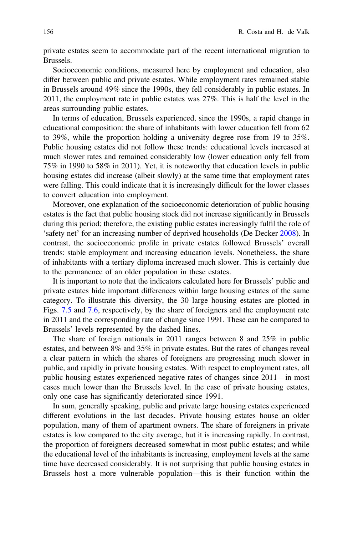private estates seem to accommodate part of the recent international migration to Brussels.

Socioeconomic conditions, measured here by employment and education, also differ between public and private estates. While employment rates remained stable in Brussels around 49% since the 1990s, they fell considerably in public estates. In 2011, the employment rate in public estates was 27%. This is half the level in the areas surrounding public estates.

In terms of education, Brussels experienced, since the 1990s, a rapid change in educational composition: the share of inhabitants with lower education fell from 62 to 39%, while the proportion holding a university degree rose from 19 to 35%. Public housing estates did not follow these trends: educational levels increased at much slower rates and remained considerably low (lower education only fell from 75% in 1990 to 58% in 2011). Yet, it is noteworthy that education levels in public housing estates did increase (albeit slowly) at the same time that employment rates were falling. This could indicate that it is increasingly difficult for the lower classes to convert education into employment.

Moreover, one explanation of the socioeconomic deterioration of public housing estates is the fact that public housing stock did not increase significantly in Brussels during this period; therefore, the existing public estates increasingly fulfil the role of 'safety net' for an increasing number of deprived households (De Decker [2008\)](#page-20-0). In contrast, the socioeconomic profile in private estates followed Brussels' overall trends: stable employment and increasing education levels. Nonetheless, the share of inhabitants with a tertiary diploma increased much slower. This is certainly due to the permanence of an older population in these estates.

It is important to note that the indicators calculated here for Brussels' public and private estates hide important differences within large housing estates of the same category. To illustrate this diversity, the 30 large housing estates are plotted in Figs. [7.5](#page-12-0) and [7.6](#page-12-0), respectively, by the share of foreigners and the employment rate in 2011 and the corresponding rate of change since 1991. These can be compared to Brussels' levels represented by the dashed lines.

The share of foreign nationals in 2011 ranges between 8 and 25% in public estates, and between 8% and 35% in private estates. But the rates of changes reveal a clear pattern in which the shares of foreigners are progressing much slower in public, and rapidly in private housing estates. With respect to employment rates, all public housing estates experienced negative rates of changes since 2011—in most cases much lower than the Brussels level. In the case of private housing estates, only one case has significantly deteriorated since 1991.

In sum, generally speaking, public and private large housing estates experienced different evolutions in the last decades. Private housing estates house an older population, many of them of apartment owners. The share of foreigners in private estates is low compared to the city average, but it is increasing rapidly. In contrast, the proportion of foreigners decreased somewhat in most public estates; and while the educational level of the inhabitants is increasing, employment levels at the same time have decreased considerably. It is not surprising that public housing estates in Brussels host a more vulnerable population—this is their function within the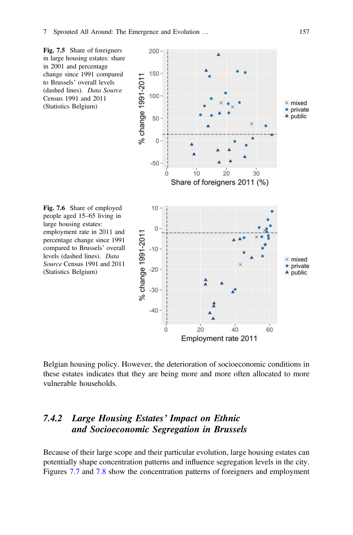<span id="page-12-0"></span>

Belgian housing policy. However, the deterioration of socioeconomic conditions in these estates indicates that they are being more and more often allocated to more vulnerable households.

# 7.4.2 Large Housing Estates' Impact on Ethnic and Socioeconomic Segregation in Brussels

Because of their large scope and their particular evolution, large housing estates can potentially shape concentration patterns and influence segregation levels in the city. Figures [7.7](#page-13-0) and [7.8](#page-14-0) show the concentration patterns of foreigners and employment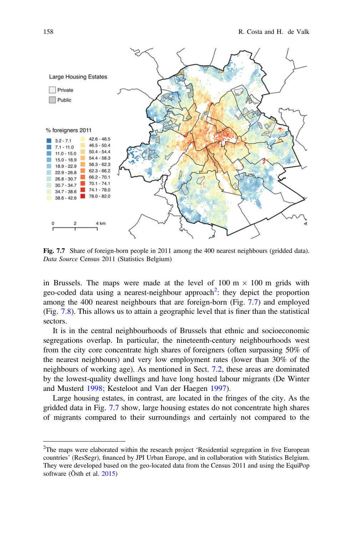<span id="page-13-0"></span>

Fig. 7.7 Share of foreign-born people in 2011 among the 400 nearest neighbours (gridded data). Data Source Census 2011 (Statistics Belgium)

in Brussels. The maps were made at the level of  $100 \text{ m} \times 100 \text{ m}$  grids with geo-coded data using a nearest-neighbour approach<sup>2</sup>: they depict the proportion among the 400 nearest neighbours that are foreign-born (Fig. 7.7) and employed (Fig. [7.8\)](#page-14-0). This allows us to attain a geographic level that is finer than the statistical sectors.

It is in the central neighbourhoods of Brussels that ethnic and socioeconomic segregations overlap. In particular, the nineteenth-century neighbourhoods west from the city core concentrate high shares of foreigners (often surpassing 50% of the nearest neighbours) and very low employment rates (lower than 30% of the neighbours of working age). As mentioned in Sect. [7.2](#page-1-0), these areas are dominated by the lowest-quality dwellings and have long hosted labour migrants (De Winter and Musterd [1998;](#page-20-0) Kesteloot and Van der Haegen [1997\)](#page-20-0).

Large housing estates, in contrast, are located in the fringes of the city. As the gridded data in Fig. 7.7 show, large housing estates do not concentrate high shares of migrants compared to their surroundings and certainly not compared to the

<sup>&</sup>lt;sup>2</sup>The maps were elaborated within the research project 'Residential segregation in five European countries' (ResSegr), financed by JPI Urban Europe, and in collaboration with Statistics Belgium. They were developed based on the geo-located data from the Census 2011 and using the EquiPop software (Östh et al. [2015\)](#page-21-0)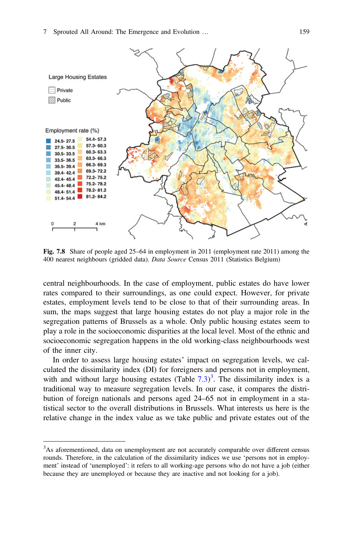<span id="page-14-0"></span>

Fig. 7.8 Share of people aged 25–64 in employment in 2011 (employment rate 2011) among the 400 nearest neighbours (gridded data). Data Source Census 2011 (Statistics Belgium)

central neighbourhoods. In the case of employment, public estates do have lower rates compared to their surroundings, as one could expect. However, for private estates, employment levels tend to be close to that of their surrounding areas. In sum, the maps suggest that large housing estates do not play a major role in the segregation patterns of Brussels as a whole. Only public housing estates seem to play a role in the socioeconomic disparities at the local level. Most of the ethnic and socioeconomic segregation happens in the old working-class neighbourhoods west of the inner city.

In order to assess large housing estates' impact on segregation levels, we calculated the dissimilarity index (DI) for foreigners and persons not in employment, with and without large housing estates  $(Table 7.3)^3$  $(Table 7.3)^3$  $(Table 7.3)^3$ . The dissimilarity index is a traditional way to measure segregation levels. In our case, it compares the distribution of foreign nationals and persons aged 24–65 not in employment in a statistical sector to the overall distributions in Brussels. What interests us here is the relative change in the index value as we take public and private estates out of the

<sup>&</sup>lt;sup>3</sup>As aforementioned, data on unemployment are not accurately comparable over different census rounds. Therefore, in the calculation of the dissimilarity indices we use 'persons not in employment' instead of 'unemployed': it refers to all working-age persons who do not have a job (either because they are unemployed or because they are inactive and not looking for a job).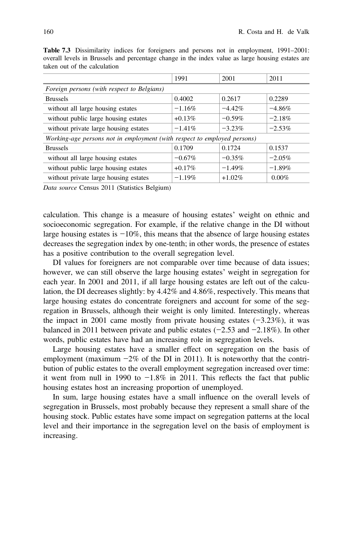|                                                                          | 1991      | 2001      | 2011     |
|--------------------------------------------------------------------------|-----------|-----------|----------|
| Foreign persons (with respect to Belgians)                               |           |           |          |
| <b>Brussels</b>                                                          | 0.4002    | 0.2617    | 0.2289   |
| without all large housing estates                                        | $-1.16%$  | $-4.42%$  | $-4.86%$ |
| without public large housing estates                                     | $+0.13%$  | $-0.59%$  | $-2.18%$ |
| without private large housing estates                                    | $-1.41\%$ | $-3.23%$  | $-2.53%$ |
| Working-age persons not in employment (with respect to employed persons) |           |           |          |
| <b>Brussels</b>                                                          | 0.1709    | 0.1724    | 0.1537   |
| without all large housing estates                                        | $-0.67\%$ | $-0.35\%$ | $-2.05%$ |
| without public large housing estates                                     | $+0.17%$  | $-1.49%$  | $-1.89%$ |
| without private large housing estates                                    | $-1.19%$  | $+1.02%$  | $0.00\%$ |

<span id="page-15-0"></span>Table 7.3 Dissimilarity indices for foreigners and persons not in employment, 1991–2001: overall levels in Brussels and percentage change in the index value as large housing estates are taken out of the calculation

Data source Census 2011 (Statistics Belgium)

calculation. This change is a measure of housing estates' weight on ethnic and socioeconomic segregation. For example, if the relative change in the DI without large housing estates is  $-10\%$ , this means that the absence of large housing estates decreases the segregation index by one-tenth; in other words, the presence of estates has a positive contribution to the overall segregation level.

DI values for foreigners are not comparable over time because of data issues; however, we can still observe the large housing estates' weight in segregation for each year. In 2001 and 2011, if all large housing estates are left out of the calculation, the DI decreases slightly: by 4.42% and 4.86%, respectively. This means that large housing estates do concentrate foreigners and account for some of the segregation in Brussels, although their weight is only limited. Interestingly, whereas the impact in 2001 came mostly from private housing estates  $(-3.23\%)$ , it was balanced in 2011 between private and public estates (−2.53 and −2.18%). In other words, public estates have had an increasing role in segregation levels.

Large housing estates have a smaller effect on segregation on the basis of employment (maximum −2% of the DI in 2011). It is noteworthy that the contribution of public estates to the overall employment segregation increased over time: it went from null in 1990 to −1.8% in 2011. This reflects the fact that public housing estates host an increasing proportion of unemployed.

In sum, large housing estates have a small influence on the overall levels of segregation in Brussels, most probably because they represent a small share of the housing stock. Public estates have some impact on segregation patterns at the local level and their importance in the segregation level on the basis of employment is increasing.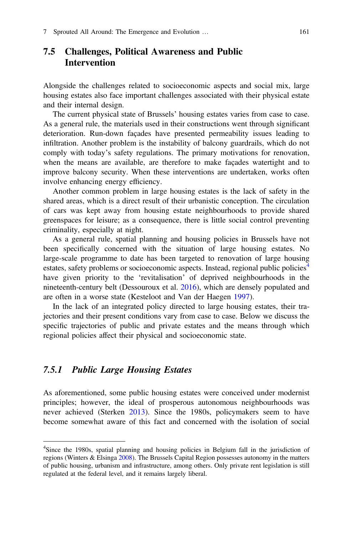# <span id="page-16-0"></span>7.5 Challenges, Political Awareness and Public **Intervention**

Alongside the challenges related to socioeconomic aspects and social mix, large housing estates also face important challenges associated with their physical estate and their internal design.

The current physical state of Brussels' housing estates varies from case to case. As a general rule, the materials used in their constructions went through significant deterioration. Run-down façades have presented permeability issues leading to infiltration. Another problem is the instability of balcony guardrails, which do not comply with today's safety regulations. The primary motivations for renovation, when the means are available, are therefore to make façades watertight and to improve balcony security. When these interventions are undertaken, works often involve enhancing energy efficiency.

Another common problem in large housing estates is the lack of safety in the shared areas, which is a direct result of their urbanistic conception. The circulation of cars was kept away from housing estate neighbourhoods to provide shared greenspaces for leisure; as a consequence, there is little social control preventing criminality, especially at night.

As a general rule, spatial planning and housing policies in Brussels have not been specifically concerned with the situation of large housing estates. No large-scale programme to date has been targeted to renovation of large housing estates, safety problems or socioeconomic aspects. Instead, regional public policies<sup>4</sup> have given priority to the 'revitalisation' of deprived neighbourhoods in the nineteenth-century belt (Dessouroux et al. [2016\)](#page-20-0), which are densely populated and are often in a worse state (Kesteloot and Van der Haegen [1997](#page-20-0)).

In the lack of an integrated policy directed to large housing estates, their trajectories and their present conditions vary from case to case. Below we discuss the specific trajectories of public and private estates and the means through which regional policies affect their physical and socioeconomic state.

#### 7.5.1 Public Large Housing Estates

As aforementioned, some public housing estates were conceived under modernist principles; however, the ideal of prosperous autonomous neighbourhoods was never achieved (Sterken [2013\)](#page-21-0). Since the 1980s, policymakers seem to have become somewhat aware of this fact and concerned with the isolation of social

<sup>&</sup>lt;sup>4</sup>Since the 1980s, spatial planning and housing policies in Belgium fall in the jurisdiction of regions (Winters & Elsinga [2008\)](#page-21-0). The Brussels Capital Region possesses autonomy in the matters of public housing, urbanism and infrastructure, among others. Only private rent legislation is still regulated at the federal level, and it remains largely liberal.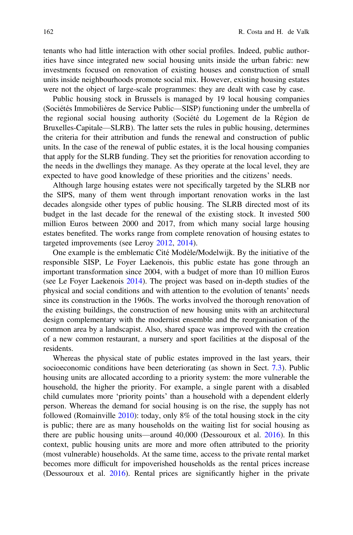tenants who had little interaction with other social profiles. Indeed, public authorities have since integrated new social housing units inside the urban fabric: new investments focused on renovation of existing houses and construction of small units inside neighbourhoods promote social mix. However, existing housing estates were not the object of large-scale programmes: they are dealt with case by case.

Public housing stock in Brussels is managed by 19 local housing companies (Sociétés Immobilières de Service Public—SISP) functioning under the umbrella of the regional social housing authority (Société du Logement de la Région de Bruxelles-Capitale—SLRB). The latter sets the rules in public housing, determines the criteria for their attribution and funds the renewal and construction of public units. In the case of the renewal of public estates, it is the local housing companies that apply for the SLRB funding. They set the priorities for renovation according to the needs in the dwellings they manage. As they operate at the local level, they are expected to have good knowledge of these priorities and the citizens' needs.

Although large housing estates were not specifically targeted by the SLRB nor the SIPS, many of them went through important renovation works in the last decades alongside other types of public housing. The SLRB directed most of its budget in the last decade for the renewal of the existing stock. It invested 500 million Euros between 2000 and 2017, from which many social large housing estates benefited. The works range from complete renovation of housing estates to targeted improvements (see Leroy [2012,](#page-21-0) [2014\)](#page-21-0).

One example is the emblematic Cité Modèle/Modelwijk. By the initiative of the responsible SISP, Le Foyer Laekenois, this public estate has gone through an important transformation since 2004, with a budget of more than 10 million Euros (see Le Foyer Laekenois [2014\)](#page-20-0). The project was based on in-depth studies of the physical and social conditions and with attention to the evolution of tenants' needs since its construction in the 1960s. The works involved the thorough renovation of the existing buildings, the construction of new housing units with an architectural design complementary with the modernist ensemble and the reorganisation of the common area by a landscapist. Also, shared space was improved with the creation of a new common restaurant, a nursery and sport facilities at the disposal of the residents.

Whereas the physical state of public estates improved in the last years, their socioeconomic conditions have been deteriorating (as shown in Sect. [7.3\)](#page-3-0). Public housing units are allocated according to a priority system: the more vulnerable the household, the higher the priority. For example, a single parent with a disabled child cumulates more 'priority points' than a household with a dependent elderly person. Whereas the demand for social housing is on the rise, the supply has not followed (Romainville [2010\)](#page-21-0): today, only 8% of the total housing stock in the city is public; there are as many households on the waiting list for social housing as there are public housing units—around 40,000 (Dessouroux et al. [2016](#page-20-0)). In this context, public housing units are more and more often attributed to the priority (most vulnerable) households. At the same time, access to the private rental market becomes more difficult for impoverished households as the rental prices increase (Dessouroux et al. [2016](#page-20-0)). Rental prices are significantly higher in the private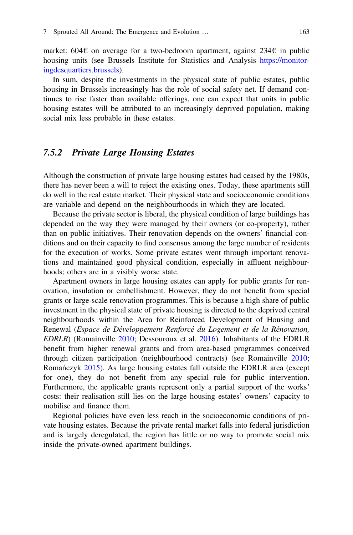market: 604€ on average for a two-bedroom apartment, against 234€ in public housing units (see Brussels Institute for Statistics and Analysis [https://monitor](#page-20-0)[ingdesquartiers.brussels](#page-20-0)).

In sum, despite the investments in the physical state of public estates, public housing in Brussels increasingly has the role of social safety net. If demand continues to rise faster than available offerings, one can expect that units in public housing estates will be attributed to an increasingly deprived population, making social mix less probable in these estates.

### 7.5.2 Private Large Housing Estates

Although the construction of private large housing estates had ceased by the 1980s, there has never been a will to reject the existing ones. Today, these apartments still do well in the real estate market. Their physical state and socioeconomic conditions are variable and depend on the neighbourhoods in which they are located.

Because the private sector is liberal, the physical condition of large buildings has depended on the way they were managed by their owners (or co-property), rather than on public initiatives. Their renovation depends on the owners' financial conditions and on their capacity to find consensus among the large number of residents for the execution of works. Some private estates went through important renovations and maintained good physical condition, especially in affluent neighbourhoods; others are in a visibly worse state.

Apartment owners in large housing estates can apply for public grants for renovation, insulation or embellishment. However, they do not benefit from special grants or large-scale renovation programmes. This is because a high share of public investment in the physical state of private housing is directed to the deprived central neighbourhoods within the Area for Reinforced Development of Housing and Renewal (Espace de Développement Renforcé du Logement et de la Rénovation, EDRLR) (Romainville [2010](#page-21-0); Dessouroux et al. [2016](#page-20-0)). Inhabitants of the EDRLR benefit from higher renewal grants and from area-based programmes conceived through citizen participation (neighbourhood contracts) (see Romainville [2010;](#page-21-0) Romańczyk [2015\)](#page-21-0). As large housing estates fall outside the EDRLR area (except for one), they do not benefit from any special rule for public intervention. Furthermore, the applicable grants represent only a partial support of the works' costs: their realisation still lies on the large housing estates' owners' capacity to mobilise and finance them.

Regional policies have even less reach in the socioeconomic conditions of private housing estates. Because the private rental market falls into federal jurisdiction and is largely deregulated, the region has little or no way to promote social mix inside the private-owned apartment buildings.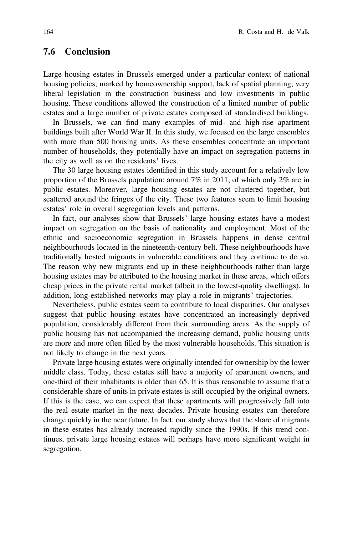#### 7.6 Conclusion

Large housing estates in Brussels emerged under a particular context of national housing policies, marked by homeownership support, lack of spatial planning, very liberal legislation in the construction business and low investments in public housing. These conditions allowed the construction of a limited number of public estates and a large number of private estates composed of standardised buildings.

In Brussels, we can find many examples of mid- and high-rise apartment buildings built after World War II. In this study, we focused on the large ensembles with more than 500 housing units. As these ensembles concentrate an important number of households, they potentially have an impact on segregation patterns in the city as well as on the residents' lives.

The 30 large housing estates identified in this study account for a relatively low proportion of the Brussels population: around 7% in 2011, of which only 2% are in public estates. Moreover, large housing estates are not clustered together, but scattered around the fringes of the city. These two features seem to limit housing estates' role in overall segregation levels and patterns.

In fact, our analyses show that Brussels' large housing estates have a modest impact on segregation on the basis of nationality and employment. Most of the ethnic and socioeconomic segregation in Brussels happens in dense central neighbourhoods located in the nineteenth-century belt. These neighbourhoods have traditionally hosted migrants in vulnerable conditions and they continue to do so. The reason why new migrants end up in these neighbourhoods rather than large housing estates may be attributed to the housing market in these areas, which offers cheap prices in the private rental market (albeit in the lowest-quality dwellings). In addition, long-established networks may play a role in migrants' trajectories.

Nevertheless, public estates seem to contribute to local disparities. Our analyses suggest that public housing estates have concentrated an increasingly deprived population, considerably different from their surrounding areas. As the supply of public housing has not accompanied the increasing demand, public housing units are more and more often filled by the most vulnerable households. This situation is not likely to change in the next years.

Private large housing estates were originally intended for ownership by the lower middle class. Today, these estates still have a majority of apartment owners, and one-third of their inhabitants is older than 65. It is thus reasonable to assume that a considerable share of units in private estates is still occupied by the original owners. If this is the case, we can expect that these apartments will progressively fall into the real estate market in the next decades. Private housing estates can therefore change quickly in the near future. In fact, our study shows that the share of migrants in these estates has already increased rapidly since the 1990s. If this trend continues, private large housing estates will perhaps have more significant weight in segregation.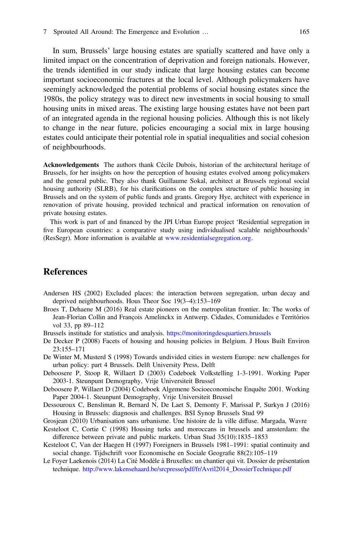<span id="page-20-0"></span>In sum, Brussels' large housing estates are spatially scattered and have only a limited impact on the concentration of deprivation and foreign nationals. However, the trends identified in our study indicate that large housing estates can become important socioeconomic fractures at the local level. Although policymakers have seemingly acknowledged the potential problems of social housing estates since the 1980s, the policy strategy was to direct new investments in social housing to small housing units in mixed areas. The existing large housing estates have not been part of an integrated agenda in the regional housing policies. Although this is not likely to change in the near future, policies encouraging a social mix in large housing estates could anticipate their potential role in spatial inequalities and social cohesion of neighbourhoods.

Acknowledgements The authors thank Cécile Dubois, historian of the architectural heritage of Brussels, for her insights on how the perception of housing estates evolved among policymakers and the general public. They also thank Guillaume Sokal, architect at Brussels regional social housing authority (SLRB), for his clarifications on the complex structure of public housing in Brussels and on the system of public funds and grants. Gregory Hye, architect with experience in renovation of private housing, provided technical and practical information on renovation of private housing estates.

This work is part of and financed by the JPI Urban Europe project 'Residential segregation in five European countries: a comparative study using individualised scalable neighbourhoods' (ResSegr). More information is available at www.residentialsegregation.org.

#### **References**

- Andersen HS (2002) Excluded places: the interaction between segregation, urban decay and deprived neighbourhoods. Hous Theor Soc 19(3–4):153–169
- Broes T, Dehaene M (2016) Real estate pioneers on the metropolitan frontier. In: The works of Jean-Florian Collin and François Amelinckx in Antwerp. Cidades, Comunidades e Territórios vol 33, pp 89–112
- Brussels institude for statistics and analysis. <https://monitoringdesquartiers.brussels>
- De Decker P (2008) Facets of housing and housing policies in Belgium. J Hous Built Environ 23:155–171
- De Winter M, Musterd S (1998) Towards undivided cities in western Europe: new challenges for urban policy: part 4 Brussels. Delft University Press, Delft
- Deboosere P, Stoop R, Willaert D (2003) Codeboek Volkstelling 1-3-1991. Working Paper 2003-1. Steunpunt Demography, Vrije Universiteit Brussel
- Deboosere P, Willaert D (2004) Codeboek Algemene Socioeconomische Enquête 2001. Working Paper 2004-1. Steunpunt Demography, Vrije Universiteit Brussel
- Dessouroux C, Bensliman R, Bernard N, De Laet S, Demonty F, Marissal P, Surkyn J (2016) Housing in Brussels: diagnosis and challenges. BSI Synop Brussels Stud 99
- Grosjean (2010) Urbanisation sans urbanisme. Une histoire de la ville diffuse. Margada, Wavre
- Kesteloot C, Cortie C (1998) Housing turks and moroccans in brussels and amsterdam: the difference between private and public markets. Urban Stud 35(10):1835–1853
- Kesteloot C, Van der Haegen H (1997) Foreigners in Brussels 1981–1991: spatial continuity and social change. Tijdschrift voor Economische en Sociale Geografie 88(2):105–119
- Le Foyer Laekenois (2014) La Cité Modèle à Bruxelles: un chantier qui vit. Dossier de présentation technique. [http://www.lakensehaard.be/srcpresse/pdf/fr/Avril2014\\_DossierTechnique.pdf](http://www.lakensehaard.be/srcpresse/pdf/fr/Avril2014_DossierTechnique.pdf)